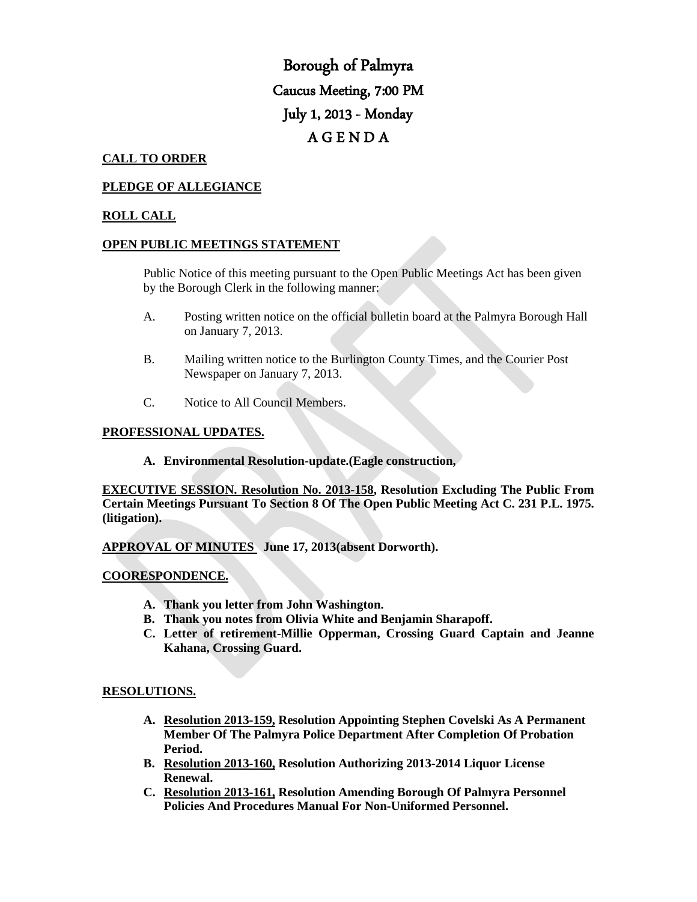# Borough of Palmyra Caucus Meeting, 7:00 PM July 1, 2013 - Monday A G E N D A

## **CALL TO ORDER**

## **PLEDGE OF ALLEGIANCE**

## **ROLL CALL**

## **OPEN PUBLIC MEETINGS STATEMENT**

Public Notice of this meeting pursuant to the Open Public Meetings Act has been given by the Borough Clerk in the following manner:

- A. Posting written notice on the official bulletin board at the Palmyra Borough Hall on January 7, 2013.
- B. Mailing written notice to the Burlington County Times, and the Courier Post Newspaper on January 7, 2013.
- C. Notice to All Council Members.

### **PROFESSIONAL UPDATES.**

**A. Environmental Resolution-update.(Eagle construction,** 

**EXECUTIVE SESSION. Resolution No. 2013-158, Resolution Excluding The Public From Certain Meetings Pursuant To Section 8 Of The Open Public Meeting Act C. 231 P.L. 1975. (litigation).**

**APPROVAL OF MINUTES June 17, 2013(absent Dorworth).**

### **COORESPONDENCE.**

- **A. Thank you letter from John Washington.**
- **B. Thank you notes from Olivia White and Benjamin Sharapoff.**
- **C. Letter of retirement-Millie Opperman, Crossing Guard Captain and Jeanne Kahana, Crossing Guard.**

#### **RESOLUTIONS.**

- **A. Resolution 2013-159, Resolution Appointing Stephen Covelski As A Permanent Member Of The Palmyra Police Department After Completion Of Probation Period.**
- **B. Resolution 2013-160, Resolution Authorizing 2013-2014 Liquor License Renewal.**
- **C. Resolution 2013-161, Resolution Amending Borough Of Palmyra Personnel Policies And Procedures Manual For Non-Uniformed Personnel.**